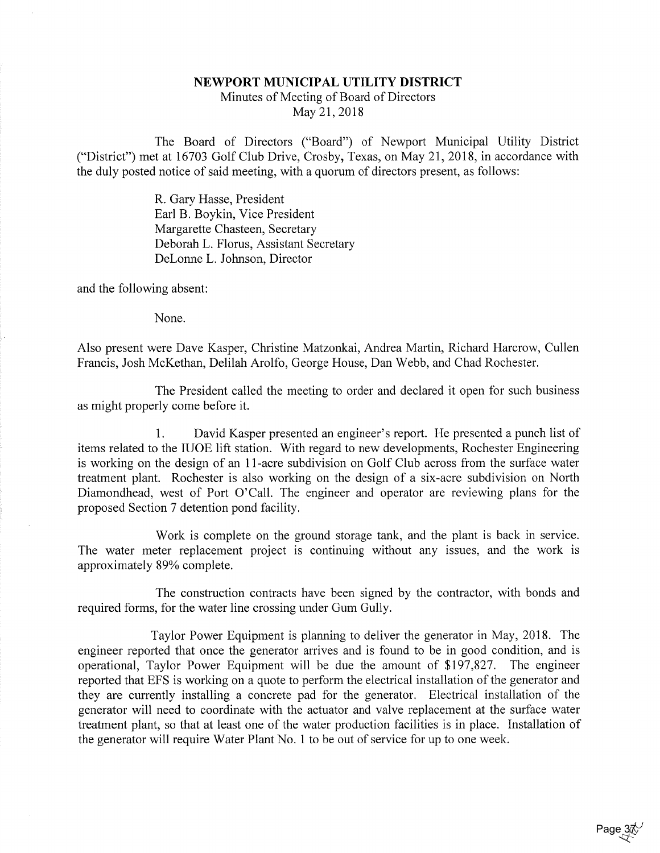## NEWPORT MUNICIPAL UTILITY DISTRICT

Minutes of Meeting of Board of DirectorsMay 21, 2018

The Board of Directors ("Board") of Newport Municipal Utility District ("District") met at 16703 Golf Club Drive, Crosby, Texas, on May 21, 2018, in accordance withthe duly posted notice of said meeting, with a quorum of directors present, as follows:

> R. Gary Hasse, President Earl B. Boykin, Vice President Margarette Chasteen, SecretaryDeborah L. Florus, Assistant Secretary DeLonne L. Johnson, Director

and the following absent:

None.

Also present were Dave Kasper, Christine Matzonkai, Andrea Martin, Richard Harcrow, CullenFrancis, Josh McKethan, Delilah Arolfo, George House, Dan Webb, and Chad Rochester.

The President called the meeting to order and declared it open for such businessas might properly come before it.

1. David Kasper presented an engineer's report. He presented a punch list of items related to the IIJOE lift station. With regard to new developments, Rochester Engineering is working on the design of an 11-acre subdivision on Golf Club across from the surface water treatment plant. Rochester is also working on the design of a six-acre subdivision on North Diamondhead, west of Port O'Call. The engineer and operator are reviewing plans for theproposed Section 7 detention pond facility.

Work is complete on the ground storage tank, and the plant is back in service. The water meter replacement project is continuing without any issues, and the work isapproximately 89% complete.

The construction contracts have been signed by the contractor, with bonds andrequired forms, for the water line crossing under Gum Gully.

Taylor Power Equipment is planning to deliver the generator in May, 2018. Theengineer reported that once the generator arrives and is found to be in good condition, and i operational, Taylor Power Equipment will be due the amount of \$197,827. The engineer reported that EPS is working on a quote to perform the electrical installation of the generator and they are currently installing a concrete pad for the generator. Electrical installation of thegenerator will need to coordinate with the actuator and valve replacement at the surface wate treatment plant, so that at least one of the water production facilities is in place. Installation ofthe generator will require Water Plant No. 1 to be out of service for up to one week.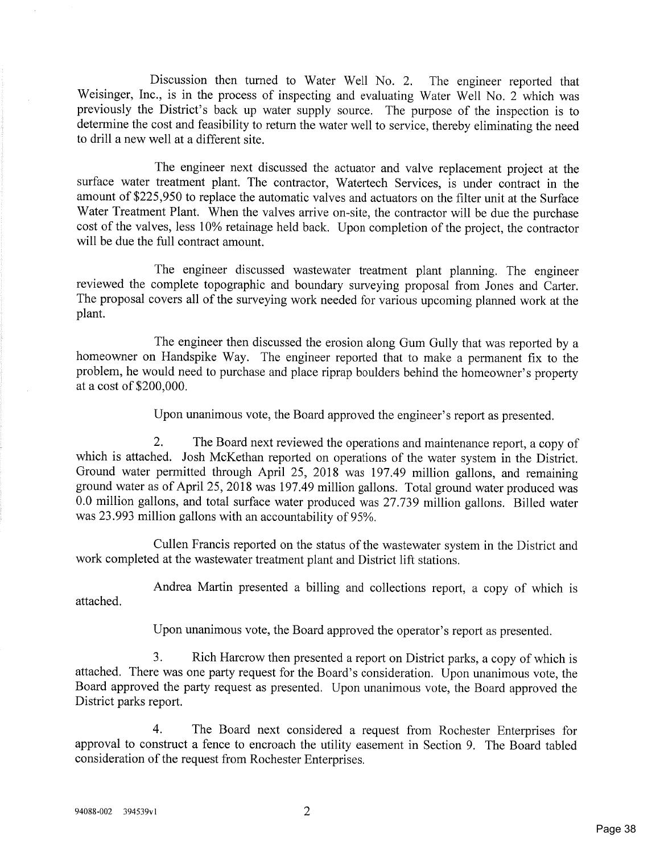Discussion then turned to Water Well No. 2. The engineer reported that Weisinger, Inc., is in the process of inspecting and evaluating Water Well No. 2 which was previously the District's back up water supply source. The purpose of the inspection is to determine the cost and feasibility to return the water well to service, thereby eliminating the needto drill a new well at a different site.

The engineer next discussed the actuator and valve replacement project at the surface water treatment plant. The contractor, Watertech Services, is under contract in the amount of \$225,950 to replace the automatic valves and actuators on the filter unit at the SurfaceWater Treatment Plant. When the valves arrive on-site, the contractor will be due the purchase cost of the valves, less 10% retainage held back. Upon completion of the project, the contractor will be due the full contract amount.

The engineer discussed wastewater treatment plant planning. The engineer reviewed the complete topographic and boundary surveying proposal from Jones and Carter. The proposal covers all of the surveying work needed for various upcoming planned work at theplant.

The engineer then discussed the erosion along Gum Gully that was reported by a homeowner on Handspike Way. The engineer reported that to make a permanent fix to the problem, he would need to purchase and place riprap boulders behind the homeowner's propertyat a cost of \$200,000.

Upon unanimous vote, the Board approved the engineer's report as presented.

2. The Board next reviewed the operations and maintenance report, a copy of which is attached. Josh McKethan reported on operations of the water system in the District. Ground water permitted through April 25, 2018 was 197.49 million gallons, and remaining ground water as of April 25, 2018 was 197.49 million gallons. Total ground water produced was 0.0 million gallons, and total surface water produced was 27.739 million gallons. Billed waterwas 23.993 million gallons with an accountability of 95%.

Cullen Francis reported on the status of the wastewater system in the District andwork completed at the wastewater treatment plant and District lift stations.

Andrea Martin presented a billing and collections report, a copy of which isattached.

Upon unanimous vote, the Board approved the operator's report as presented.

3. Rich Harcrow then presented a report on District parks, a copy of which is attached. There was one party request for the Board's consideration. Upon unanimous vote, the Board approved the party request as presented. Upon unanimous vote, the Board approved theDistrict parks report.

4. The Board next considered a request from Rochester Enterprises for approval to construct a fence to encroach the utility easement in Section 9. The Board tabledconsideration of the request from Rochester Enterprises.